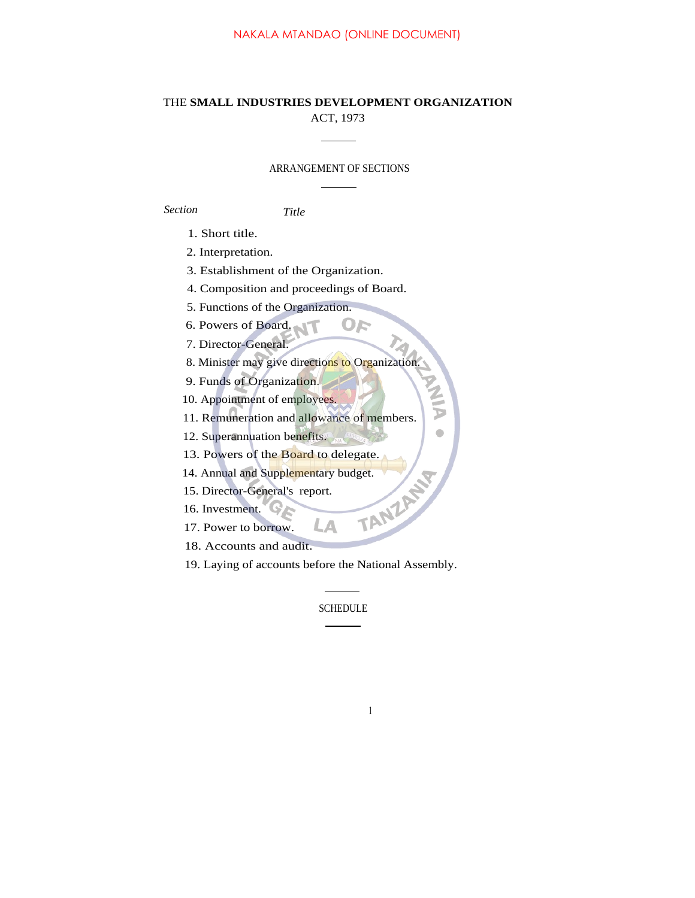### NAKALA MTANDAO (ONLINE DOCUMENT)

## THE **SMALL INDUSTRIES DEVELOPMENT ORGANIZATION** ACT, 1973

#### ARRANGEMENT OF SECTIONS

OF

Þ Ò

*Section Title*

1. Short title.

2. Interpretation.

3. Establishment of the Organization.

4. Composition and proceedings of Board.

5. Functions of the Organization.

6. Powers of Board.

7. Director-General.

8. Minister may give directions to Organization.

9. Funds of Organization.

10. Appointment of employees.

11. Remuneration and allowance of members.

12. Superannuation benefits.

13. Powers of the Board to delegate.<br>
14. Annual and Supplementary budget.<br>
15. Director-General's report.<br>
16. Investment.<br>
17. Power to borrelation.

14. Annual and Supplementary budget.

15. Director-General's report.

16. Investment.

17. Power to borrow.

18. Accounts and audit.

19. Laying of accounts before the National Assembly.

Δ

SCHEDULE

1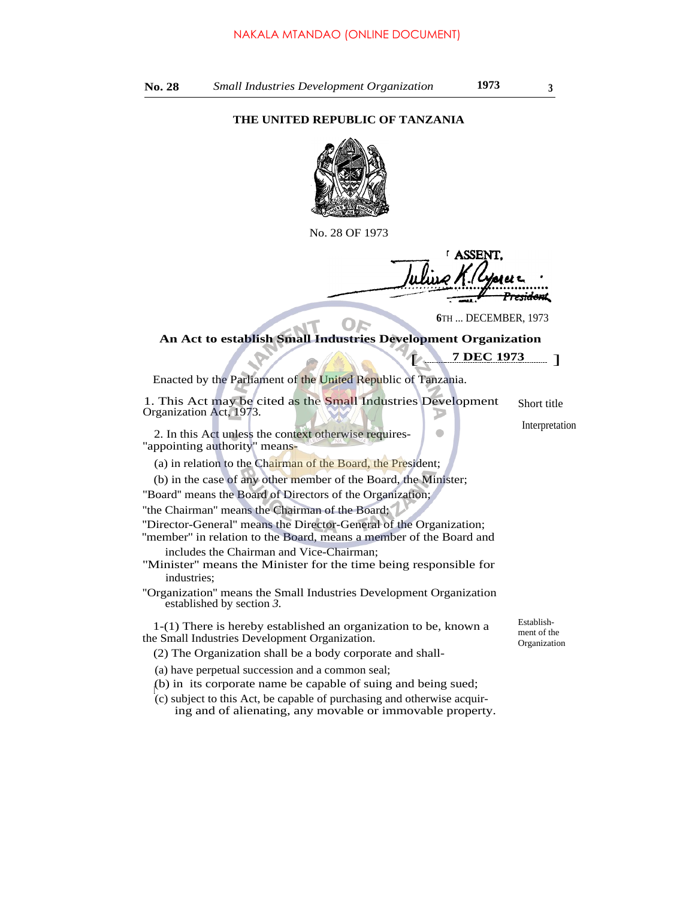## **THE UNITED REPUBLIC OF TANZANIA**



No. 28 OF 1973

**I ASSENT** <del>ssidon</del>t

**6**TH ... DECEMBER, 1973

**7 DEC 1973** [

## OF **An Act to establish Small Industries Development Organization**

Enacted by the Parliament of the United Republic of Tanzania.

| 1. This Act may be cited as the Small Industries Development<br>Organization Act, 1973.                                                  | Short title                               |
|------------------------------------------------------------------------------------------------------------------------------------------|-------------------------------------------|
| 2. In this Act unless the context otherwise requires-<br>"appointing authority" means-                                                   | Interpretation                            |
| (a) in relation to the Chairman of the Board, the President;                                                                             |                                           |
| (b) in the case of any other member of the Board, the Minister;                                                                          |                                           |
| "Board" means the Board of Directors of the Organization;                                                                                |                                           |
| "the Chairman" means the Chairman of the Board;                                                                                          |                                           |
| "Director-General" means the Director-General of the Organization;<br>"member" in relation to the Board, means a member of the Board and |                                           |
| includes the Chairman and Vice-Chairman;<br>"Minister" means the Minister for the time being responsible for<br>industries:              |                                           |
| "Organization" means the Small Industries Development Organization<br>established by section 3.                                          |                                           |
| $1-(1)$ There is hereby established an organization to be, known a<br>the Small Industries Development Organization.                     | Establish-<br>ment of the<br>Organization |

- (2) The Organization shall be a body corporate and shall-
- (a) have perpetual succession and a common seal;
- (b) in its corporate name be capable of suing and being sued;
- $\int_{0}^{1}(c)$  subject to this Act, be capable of purchasing and otherwise acquiring and of alienating, any movable or immovable property.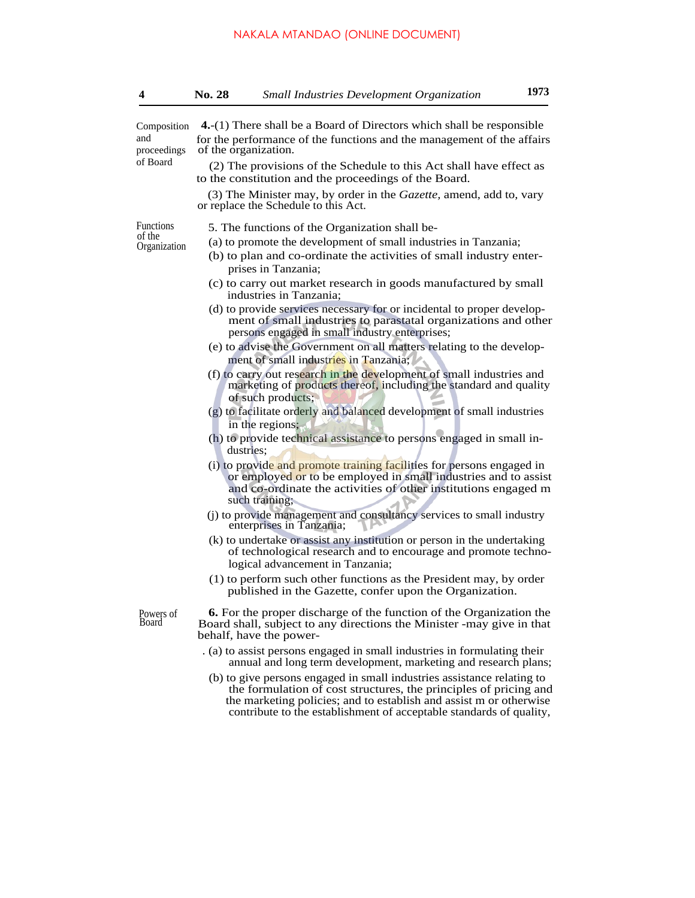| 4                                   | No. 28                                                                                                                                                                  | <b>Small Industries Development Organization</b>                                                                                                                                                                                                                                         | 1973 |  |
|-------------------------------------|-------------------------------------------------------------------------------------------------------------------------------------------------------------------------|------------------------------------------------------------------------------------------------------------------------------------------------------------------------------------------------------------------------------------------------------------------------------------------|------|--|
| Composition<br>and<br>proceedings   | 4. (1) There shall be a Board of Directors which shall be responsible<br>for the performance of the functions and the management of the affairs<br>of the organization. |                                                                                                                                                                                                                                                                                          |      |  |
| of Board                            |                                                                                                                                                                         | (2) The provisions of the Schedule to this Act shall have effect as<br>to the constitution and the proceedings of the Board.                                                                                                                                                             |      |  |
|                                     |                                                                                                                                                                         | (3) The Minister may, by order in the <i>Gazette</i> , amend, add to, vary<br>or replace the Schedule to this Act.                                                                                                                                                                       |      |  |
| Functions<br>of the<br>Organization |                                                                                                                                                                         | 5. The functions of the Organization shall be-                                                                                                                                                                                                                                           |      |  |
|                                     |                                                                                                                                                                         | (a) to promote the development of small industries in Tanzania;<br>(b) to plan and co-ordinate the activities of small industry enter-<br>prises in Tanzania;                                                                                                                            |      |  |
|                                     |                                                                                                                                                                         | (c) to carry out market research in goods manufactured by small<br>industries in Tanzania;                                                                                                                                                                                               |      |  |
|                                     |                                                                                                                                                                         | (d) to provide services necessary for or incidental to proper develop-<br>ment of small industries to parastatal organizations and other<br>persons engaged in small industry enterprises;                                                                                               |      |  |
|                                     |                                                                                                                                                                         | (e) to advise the Government on all matters relating to the develop-<br>ment of small industries in Tanzania;                                                                                                                                                                            |      |  |
|                                     |                                                                                                                                                                         | (f) to carry out research in the development of small industries and<br>marketing of products thereof, including the standard and quality<br>of such products;                                                                                                                           |      |  |
|                                     |                                                                                                                                                                         | (g) to facilitate orderly and balanced development of small industries<br>in the regions;                                                                                                                                                                                                |      |  |
|                                     |                                                                                                                                                                         | (h) to provide technical assistance to persons engaged in small in-<br>dustries:                                                                                                                                                                                                         |      |  |
|                                     |                                                                                                                                                                         | (i) to provide and promote training facilities for persons engaged in<br>or employed or to be employed in small industries and to assist<br>and co-ordinate the activities of other institutions engaged m<br>such training;                                                             |      |  |
|                                     |                                                                                                                                                                         | (j) to provide management and consultancy services to small industry<br>enterprises in Tanzania;                                                                                                                                                                                         |      |  |
|                                     |                                                                                                                                                                         | (k) to undertake or assist any institution or person in the undertaking<br>of technological research and to encourage and promote techno-<br>logical advancement in Tanzania;                                                                                                            |      |  |
|                                     |                                                                                                                                                                         | (1) to perform such other functions as the President may, by order<br>published in the Gazette, confer upon the Organization.                                                                                                                                                            |      |  |
| Powers of<br>Board                  |                                                                                                                                                                         | 6. For the proper discharge of the function of the Organization the<br>Board shall, subject to any directions the Minister -may give in that<br>behalf, have the power-                                                                                                                  |      |  |
|                                     |                                                                                                                                                                         | . (a) to assist persons engaged in small industries in formulating their<br>annual and long term development, marketing and research plans;                                                                                                                                              |      |  |
|                                     |                                                                                                                                                                         | (b) to give persons engaged in small industries assistance relating to<br>the formulation of cost structures, the principles of pricing and<br>the marketing policies; and to establish and assist m or otherwise<br>contribute to the establishment of acceptable standards of quality, |      |  |
|                                     |                                                                                                                                                                         |                                                                                                                                                                                                                                                                                          |      |  |
|                                     |                                                                                                                                                                         |                                                                                                                                                                                                                                                                                          |      |  |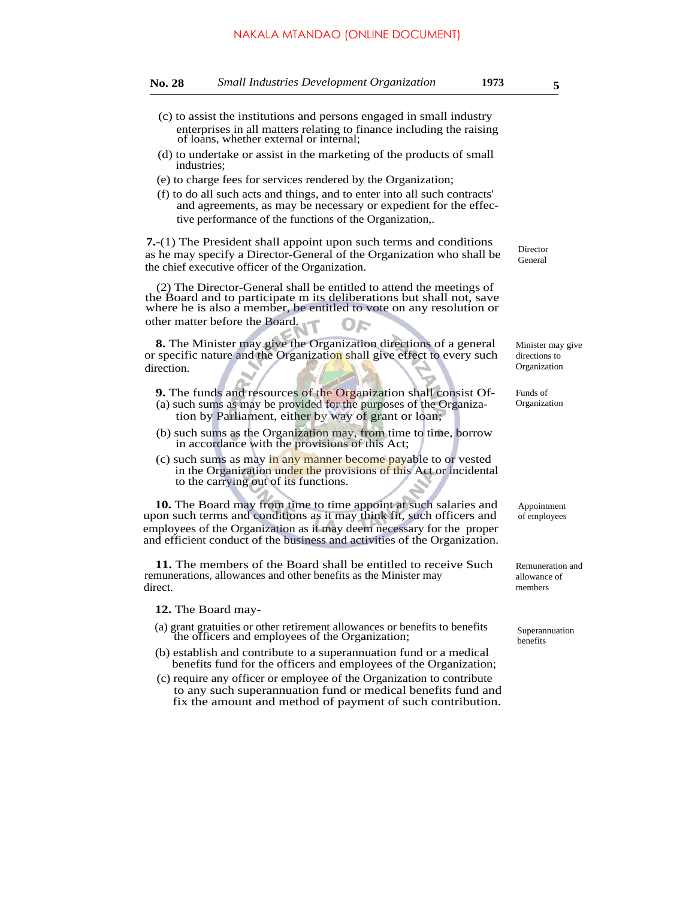### NAKALA MTANDAO (ONLINE DOCUMENT)

| <b>Small Industries Development Organization</b><br><b>No. 28</b> | 1973 |
|-------------------------------------------------------------------|------|
|-------------------------------------------------------------------|------|

- (c) to assist the institutions and persons engaged in small industry enterprises in all matters relating to finance including the raising of loans, whether external or internal;
- (d) to undertake or assist in the marketing of the products of small industries;
- (e) to charge fees for services rendered by the Organization;
- (f) to do all such acts and things, and to enter into all such contracts' and agreements, as may be necessary or expedient for the effective performance of the functions of the Organization,.

**7.**-(1) The President shall appoint upon such terms and conditions as he may specify a Director-General of the Organization who shall be the chief executive officer of the Organization.

(2) The Director-General shall be entitled to attend the meetings of the Board and to participate m its deliberations but shall not, save where he is also a member, be entitled to vote on any resolution or other matter before the Board. OF

**8.** The Minister may give the Organization directions of a general or specific nature and the Organization shall give effect to every such direction.

- **9.** The funds and resources of the Organization shall consist Of- (a) such sums as may be provided for the purposes of the Organization by Parliament, either by way of grant or loan;
- (b) such sums as the Organization may, from time to time, borrow in accordance with the provisions of this Act;
- (c) such sums as may in any manner become payable to or vested in the Organization under the provisions of this Act or incidental to the carrying out of its functions.

**10.** The Board may from time to time appoint at such salaries and upon such terms and conditions as it may think fit, such officers and employees of the Organization as it may deem necessary for the proper and efficient conduct of the business and activities of the Organization.

**11.** The members of the Board shall be entitled to receive Such remunerations, allowances and other benefits as the Minister may direct.

**12.** The Board may-

- (a) grant gratuities or other retirement allowances or benefits to benefits the officers and employees of the Organization;
- (b) establish and contribute to a superannuation fund or a medical benefits fund for the officers and employees of the Organization;
- (c) require any officer or employee of the Organization to contribute to any such superannuation fund or medical benefits fund and fix the amount and method of payment of such contribution.

Director General

Minister may give directions to Organization

Funds of Organization

Appointment of employees

Remuneration and allowance of members

Superannuation benefits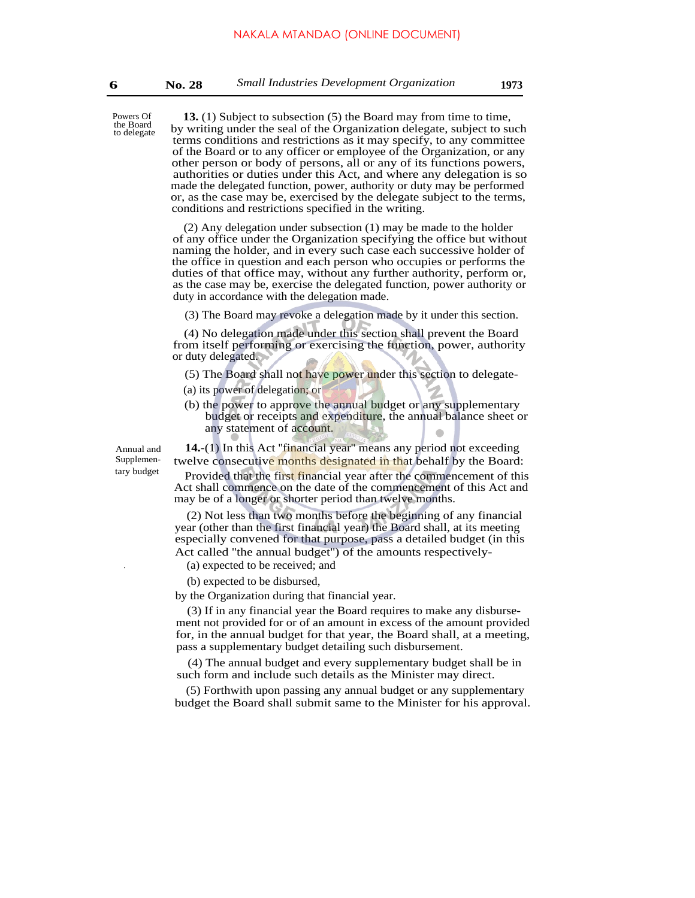**13.** (1) Subject to subsection (5) the Board may from time to time, by writing under the seal of the Organization delegate, subject to such terms conditions and restrictions as it may specify, to any committee of the Board or to any officer or employee of the Organization, or any other person or body of persons, all or any of its functions powers, authorities or duties under this Act, and where any delegation is so made the delegated function, power, authority or duty may be performed or, as the case may be, exercised by the delegate subject to the terms, conditions and restrictions specified in the writing.

(2) Any delegation under subsection (1) may be made to the holder of any office under the Organization specifying the office but without naming the holder, and in every such case each successive holder of the office in question and each person who occupies or performs the duties of that office may, without any further authority, perform or, as the case may be, exercise the delegated function, power authority or duty in accordance with the delegation made.

(3) The Board may revoke a delegation made by it under this section.

(4) No delegation made under this section shall prevent the Board from itself performing or exercising the function, power, authority or duty delegated.

(5) The Board shall not have power under this section to delegate-

(a) its power of delegation; or

(b) the power to approve the annual budget or any supplementary budget or receipts and expenditure, the annual balance sheet or any statement of account.

Annual and **14.**-(1) In this Act ''financial year'' means any period not exceeding Supplemen-<br>twelve consecutive months designated in that behalf by the Board:<br>provided that the first financial year ofter the commencement of this

Provided that the first financial year after the commencement of this Act shall commence on the date of the commencement of this Act and may be of a longer or shorter period than twelve months.

(2) Not less than two months before the beginning of any financial year (other than the first financial year) the Board shall, at its meeting especially convened for that purpose, pass a detailed budget (in this Act called ''the annual budget'') of the amounts respectively-

. (a) expected to be received; and

(b) expected to be disbursed,

by the Organization during that financial year.

(3) If in any financial year the Board requires to make any disbursement not provided for or of an amount in excess of the amount provided for, in the annual budget for that year, the Board shall, at a meeting, pass a supplementary budget detailing such disbursement.

(4) The annual budget and every supplementary budget shall be in such form and include such details as the Minister may direct.

(5) Forthwith upon passing any annual budget or any supplementary budget the Board shall submit same to the Minister for his approval.

Powers Of the Board to delegate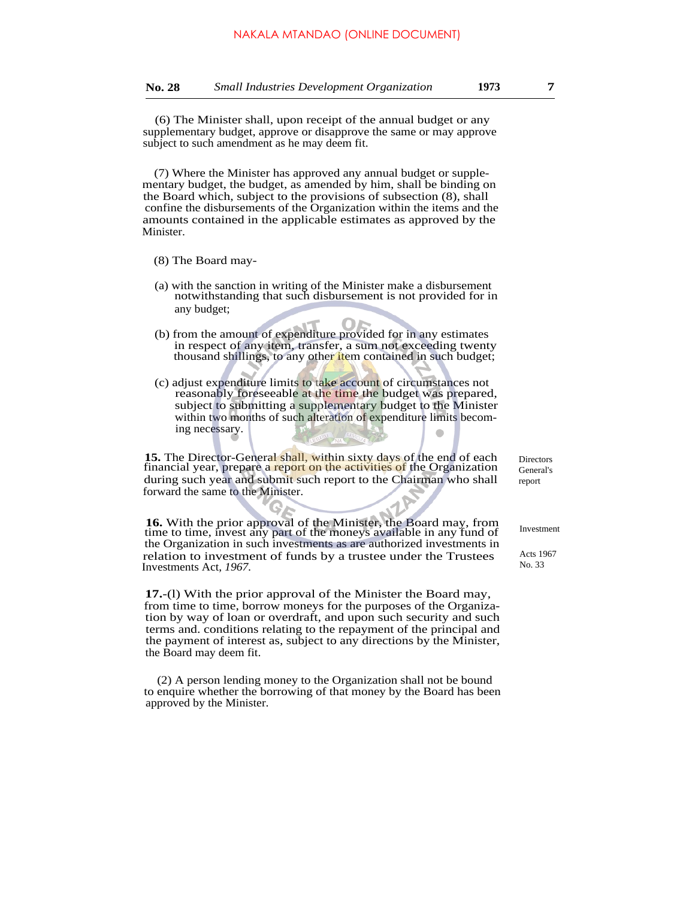(6) The Minister shall, upon receipt of the annual budget or any supplementary budget, approve or disapprove the same or may approve subject to such amendment as he may deem fit.

(7) Where the Minister has approved any annual budget or supplementary budget, the budget, as amended by him, shall be binding on the Board which, subject to the provisions of subsection (8), shall confine the disbursements of the Organization within the items and the amounts contained in the applicable estimates as approved by the Minister.

- (8) The Board may-
- (a) with the sanction in writing of the Minister make a disbursement notwithstanding that such disbursement is not provided for in any budget;
- (b) from the amount of expenditure provided for in any estimates in respect of any item, transfer, a sum not exceeding twenty thousand shillings, to any other item contained in such budget;
- (c) adjust expenditure limits to take account of circumstances not reasonably foreseeable at the time the budget was prepared, subject to submitting a supplementary budget to the Minister within two months of such alteration of expenditure limits becoming necessary.

**15.** The Director-General shall, within sixty days of the end of each financial year, prepare a report on the activities of the Organization during such year and submit such report to the Chairman who shall forward the same to the Minister.

**16.** With the prior approval of the Minister, the Board may, from time to time, invest any part of the moneys available in any fund of the Organization in such investments as are authorized investments in relation to investment of funds by a trustee under the Trustees Investments Act, *1967.*

**17.**-(l) With the prior approval of the Minister the Board may, from time to time, borrow moneys for the purposes of the Organization by way of loan or overdraft, and upon such security and such terms and. conditions relating to the repayment of the principal and the payment of interest as, subject to any directions by the Minister, the Board may deem fit.

(2) A person lending money to the Organization shall not be bound to enquire whether the borrowing of that money by the Board has been approved by the Minister.

**Directors** General's report

Investment

Acts 1967 No. 33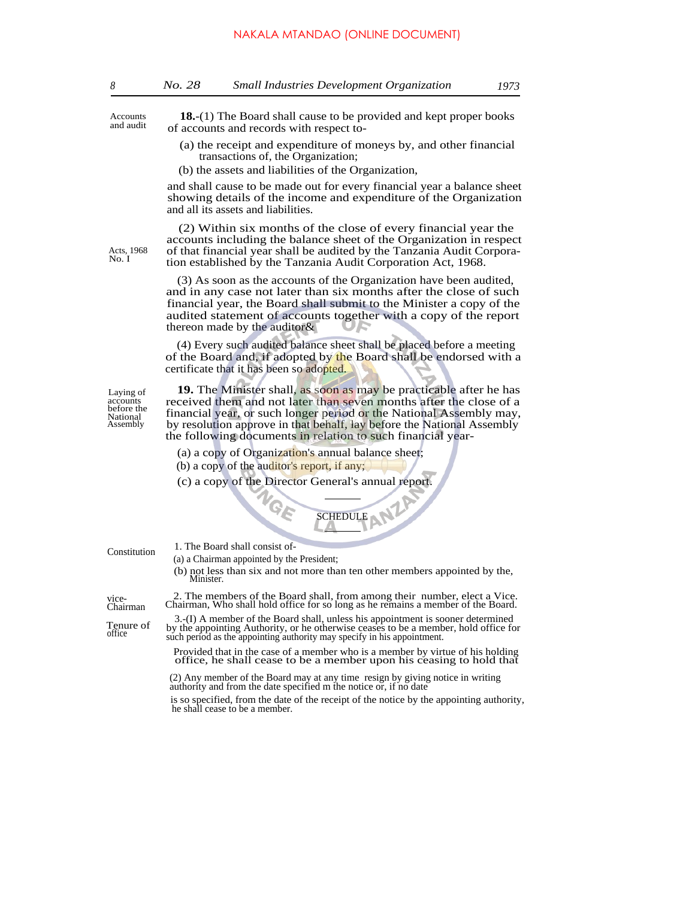Accounts and audit

Acts, 1968 No. I

**18.**-(1) The Board shall cause to be provided and kept proper books of accounts and records with respect to-

- (a) the receipt and expenditure of moneys by, and other financial transactions of, the Organization;
- (b) the assets and liabilities of the Organization,

and shall cause to be made out for every financial year a balance sheet showing details of the income and expenditure of the Organization and all its assets and liabilities.

(2) Within six months of the close of every financial year the accounts including the balance sheet of the Organization in respect of that financial year shall be audited by the Tanzania Audit Corporation established by the Tanzania Audit Corporation Act, 1968.

(3) As soon as the accounts of the Organization have been audited, and in any case not later than six months after the close of such financial year, the Board shall submit to the Minister a copy of the audited statement of accounts together with a copy of the report thereon made by the auditor&

(4) Every such audited balance sheet shall be placed before a meeting of the Board and, if adopted by the Board shall be endorsed with a certificate that it has been so adopted.

Laying of accounts before the National Assembly

**19.** The Minister shall, as soon as may be practicable after he has received them and not later than seven months after the close of a financial year, or such longer period or the National Assembly may, by resolution approve in that behalf, lay before the National Assembly the following documents in relation to such financial year-

(a) a copy of Organization's annual balance sheet;

(b) a copy of the auditor's report, if any;

(c) a copy of the Director General's annual report.



Constitution

(a) a Chairman appointed by the President;

1. The Board shall consist of-

(b) not less than six and not more than ten other members appointed by the, Minister.

Chairman

vice2. The members of the Board shall, from among their number, elect a Vice.<br>Chairman Chairman, Who shall hold office for so long as he remains a member of the Board.

3.-(I) A member of the Board shall, unless his appointment is sooner determined<br>by the appointing Authority, or he otherwise ceases to be a member, hold office for<br>office such period as the appointing authority may specify

Provided that in the case of a member who is a member by virtue of his holding office, he shall cease to be a member upon his ceasing to hold that

(2) Any member of the Board may at any time resign by giving notice in writing authority and from the date specified m the notice or, if no date

is so specified, from the date of the receipt of the notice by the appointing authority, he shall cease to be a member.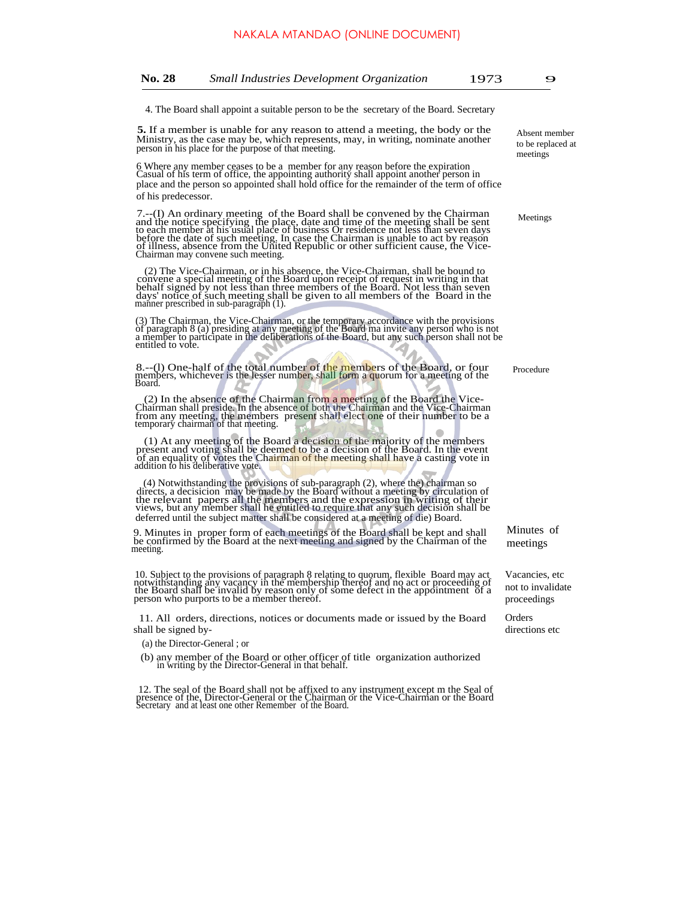4. The Board shall appoint a suitable person to be the secretary of the Board. Secretary

**5.** If a member is unable for any reason to attend a meeting, the body or the Ministry, as the case may be, which represents, may, in writing, nominate another person in his place for the purpose of that meeting.

6 Where any member ceases to be a member for any reason before the expiration Casual of his term of office, the appointing authority shall appoint another person in place and the person so appointed shall hold office for the remainder of the term of office of his predecessor.

7.--(I) An ordinary meeting of the Board shall be convened by the Chairman<br>and the notice specifying the place, date and time of the meeting shall be sent<br>to each member at his usual place of business Or residence not less

(2) The Vice-Chairman, or in his absence, the Vice-Chairman, shall be bound to convene a special meeting of the Board upon receipt of request in writing in that behalf signed by not less than three members of the Board. No manner prescribed in sub-paragraph  $(1)$ .

(3) The Chairman, the Vice-Chairman, or the temporary accordance with the provisions<br>of paragraph 8 (a) presiding at any meeting of the Board ma invite any person who is not<br>a member to participate in the deliberations of entitled to vote.

8.--(l) One-half of the total number of the members of the Board, or four members, whichever is the lesser number, shall form a quorum for a meeting of the Board.

(2) In the absence of the Chairman from a meeting of the Board the Vice-Chairman shall preside. In the absence of both the Chairman and the Vice-Chairman from any meeting, the members present shall elect one of their numbe

(1) At any meeting of the Board a decision of the majority of the members<br>present and voting shall be deemed to be a decision of the Board. In the event<br>of an equality of votes the Chairman of the meeting shall have a cast addition to his deliberative vote.

(4) Notwithstanding the provisions of sub-paragraph (2), where the) chairman so directs, a decision may be made by the Board without a meeting by circulation of the relevant papers all the members and the vertexion in writ deferred until the subject matter shall be considered at a meeting of die) Board.

9. Minutes in proper form of each meetings of the Board shall be kept and shall be confirmed by the Board at the next meeting and signed by the Chairman of the meeting.

10. Subject to the provisions of paragraph 8 relating to quorum, flexible Board may act notwithstanding any vacancy in the membership thereof and no act or proceeding of the Board shall be invalid by reason only of some de person who purports to be a member thereof.

11. All orders, directions, notices or documents made or issued by the Board shall be signed by-

- (a) the Director-General ; or
- (b) any member of the Board or other officer of title organization authorized in writing by the Director-General in that behalf.

12. The seal of the Board shall not be affixed to any instrument except m the Seal of presence of the, Director-General or the Chairman or the Vice-Chairman or the Board Secretary and at least one other Remember of the Boa

Absent member to be replaced at meetings

Meetings

Procedure

Minutes of meetings

Vacancies, etc not to invalidate proceedings

Orders directions etc